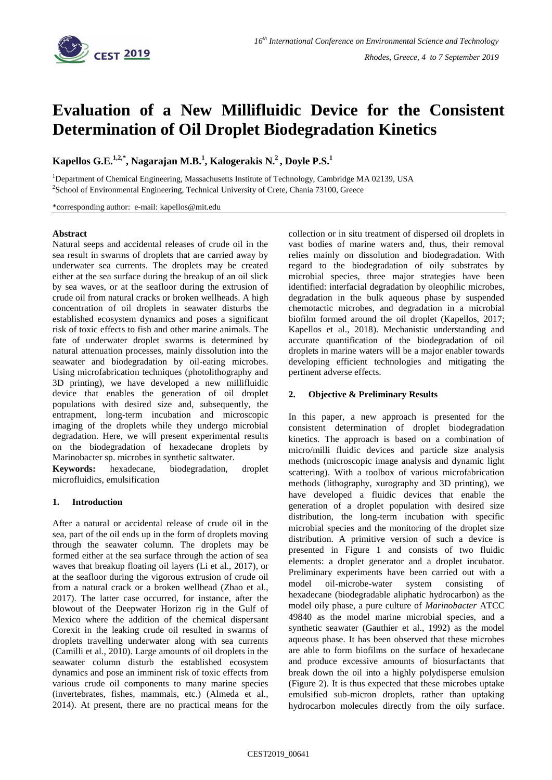

# **Evaluation of a New Millifluidic Device for the Consistent Determination of Oil Droplet Biodegradation Kinetics**

**Kapellos G.E.1,2,\* , Nagarajan M.B.<sup>1</sup> , Kalogerakis N. <sup>2</sup>, Doyle P.S. 1**

<sup>1</sup>Department of Chemical Engineering, Massachusetts Institute of Technology, Cambridge MA 02139, USA <sup>2</sup>School of Environmental Engineering, Technical University of Crete, Chania 73100, Greece

\*corresponding author: e-mail: kapellos@mit.edu

### **Abstract**

Natural seeps and accidental releases of crude oil in the sea result in swarms of droplets that are carried away by underwater sea currents. The droplets may be created either at the sea surface during the breakup of an oil slick by sea waves, or at the seafloor during the extrusion of crude oil from natural cracks or broken wellheads. A high concentration of oil droplets in seawater disturbs the established ecosystem dynamics and poses a significant risk of toxic effects to fish and other marine animals. The fate of underwater droplet swarms is determined by natural attenuation processes, mainly dissolution into the seawater and biodegradation by oil-eating microbes. Using microfabrication techniques (photolithography and 3D printing), we have developed a new millifluidic device that enables the generation of oil droplet populations with desired size and, subsequently, the entrapment, long-term incubation and microscopic imaging of the droplets while they undergo microbial degradation. Here, we will present experimental results on the biodegradation of hexadecane droplets by Marinobacter sp. microbes in synthetic saltwater.

**Keywords:** hexadecane, biodegradation, droplet microfluidics, emulsification

## **1. Introduction**

After a natural or accidental release of crude oil in the sea, part of the oil ends up in the form of droplets moving through the seawater column. The droplets may be formed either at the sea surface through the action of sea waves that breakup floating oil layers (Li et al., 2017), or at the seafloor during the vigorous extrusion of crude oil from a natural crack or a broken wellhead (Zhao et al., 2017). The latter case occurred, for instance, after the blowout of the Deepwater Horizon rig in the Gulf of Mexico where the addition of the chemical dispersant Corexit in the leaking crude oil resulted in swarms of droplets travelling underwater along with sea currents (Camilli et al., 2010). Large amounts of oil droplets in the seawater column disturb the established ecosystem dynamics and pose an imminent risk of toxic effects from various crude oil components to many marine species (invertebrates, fishes, mammals, etc.) (Almeda et al., 2014). At present, there are no practical means for the collection or in situ treatment of dispersed oil droplets in vast bodies of marine waters and, thus, their removal relies mainly on dissolution and biodegradation. With regard to the biodegradation of oily substrates by microbial species, three major strategies have been identified: interfacial degradation by oleophilic microbes, degradation in the bulk aqueous phase by suspended chemotactic microbes, and degradation in a microbial biofilm formed around the oil droplet (Kapellos, 2017; Kapellos et al., 2018). Mechanistic understanding and accurate quantification of the biodegradation of oil droplets in marine waters will be a major enabler towards developing efficient technologies and mitigating the pertinent adverse effects.

## **2. Objective & Preliminary Results**

In this paper, a new approach is presented for the consistent determination of droplet biodegradation kinetics. The approach is based on a combination of micro/milli fluidic devices and particle size analysis methods (microscopic image analysis and dynamic light scattering). With a toolbox of various microfabrication methods (lithography, xurography and 3D printing), we have developed a fluidic devices that enable the generation of a droplet population with desired size distribution, the long-term incubation with specific microbial species and the monitoring of the droplet size distribution. A primitive version of such a device is presented in Figure 1 and consists of two fluidic elements: a droplet generator and a droplet incubator. Preliminary experiments have been carried out with a model oil-microbe-water system consisting of hexadecane (biodegradable aliphatic hydrocarbon) as the model oily phase, a pure culture of *Marinobacter* ATCC 49840 as the model marine microbial species, and a synthetic seawater (Gauthier et al., 1992) as the model aqueous phase. It has been observed that these microbes are able to form biofilms on the surface of hexadecane and produce excessive amounts of biosurfactants that break down the oil into a highly polydisperse emulsion (Figure 2). It is thus expected that these microbes uptake emulsified sub-micron droplets, rather than uptaking hydrocarbon molecules directly from the oily surface.